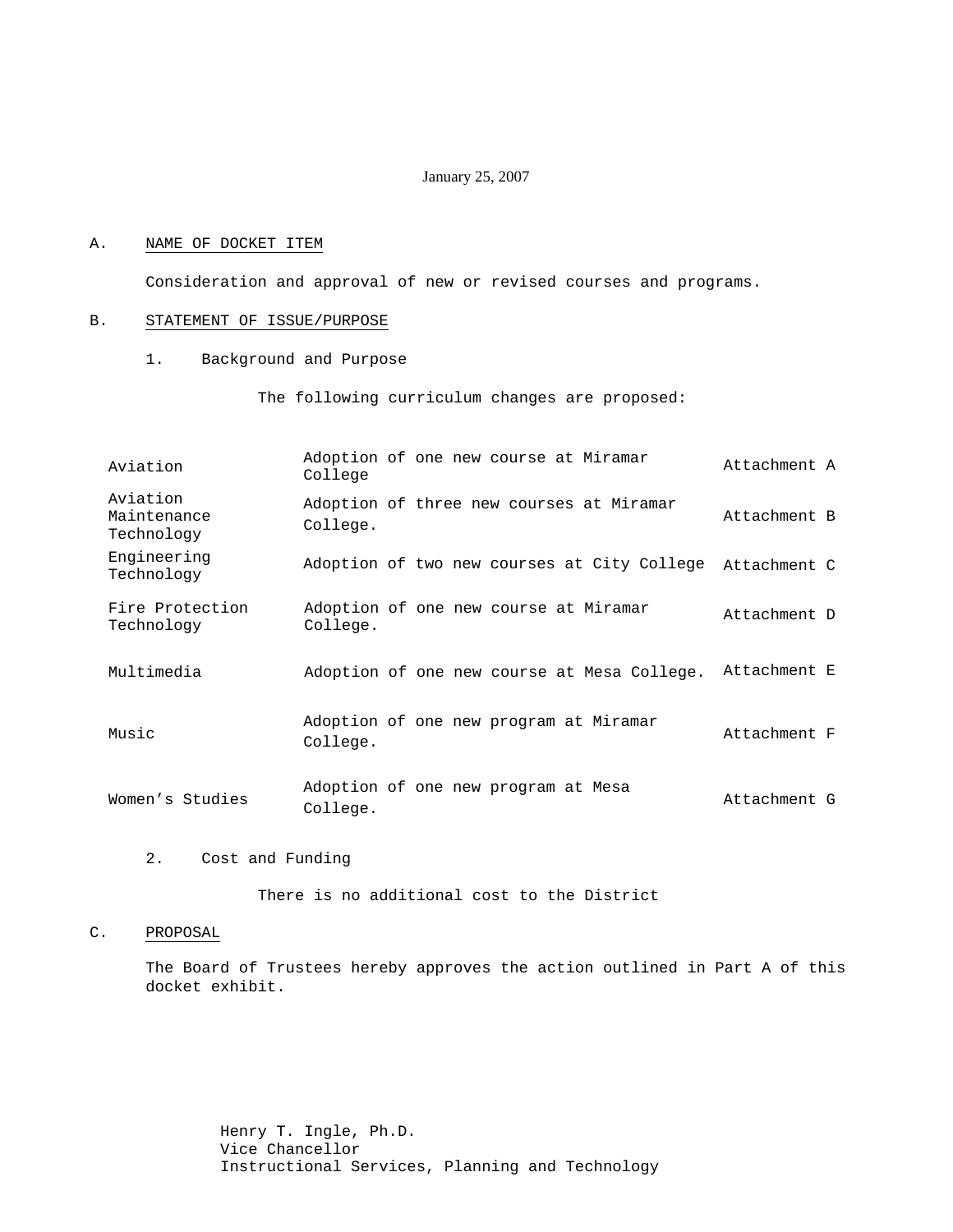#### January 25, 2007

#### A. NAME OF DOCKET ITEM

Consideration and approval of new or revised courses and programs.

#### B. STATEMENT OF ISSUE/PURPOSE

1. Background and Purpose

The following curriculum changes are proposed:

| Aviation                              | College  | Adoption of one new course at Miramar       | Attachment A |
|---------------------------------------|----------|---------------------------------------------|--------------|
| Aviation<br>Maintenance<br>Technology | College. | Adoption of three new courses at Miramar    | Attachment B |
| Engineering<br>Technology             |          | Adoption of two new courses at City College | Attachment C |
| Fire Protection<br>Technology         | College. | Adoption of one new course at Miramar       | Attachment D |
| Multimedia                            |          | Adoption of one new course at Mesa College. | Attachment E |
| Music                                 | College. | Adoption of one new program at Miramar      | Attachment F |
| Women's Studies                       | College. | Adoption of one new program at Mesa         | Attachment G |

2. Cost and Funding

There is no additional cost to the District

## C. PROPOSAL

The Board of Trustees hereby approves the action outlined in Part A of this docket exhibit.

> Henry T. Ingle, Ph.D. Vice Chancellor Instructional Services, Planning and Technology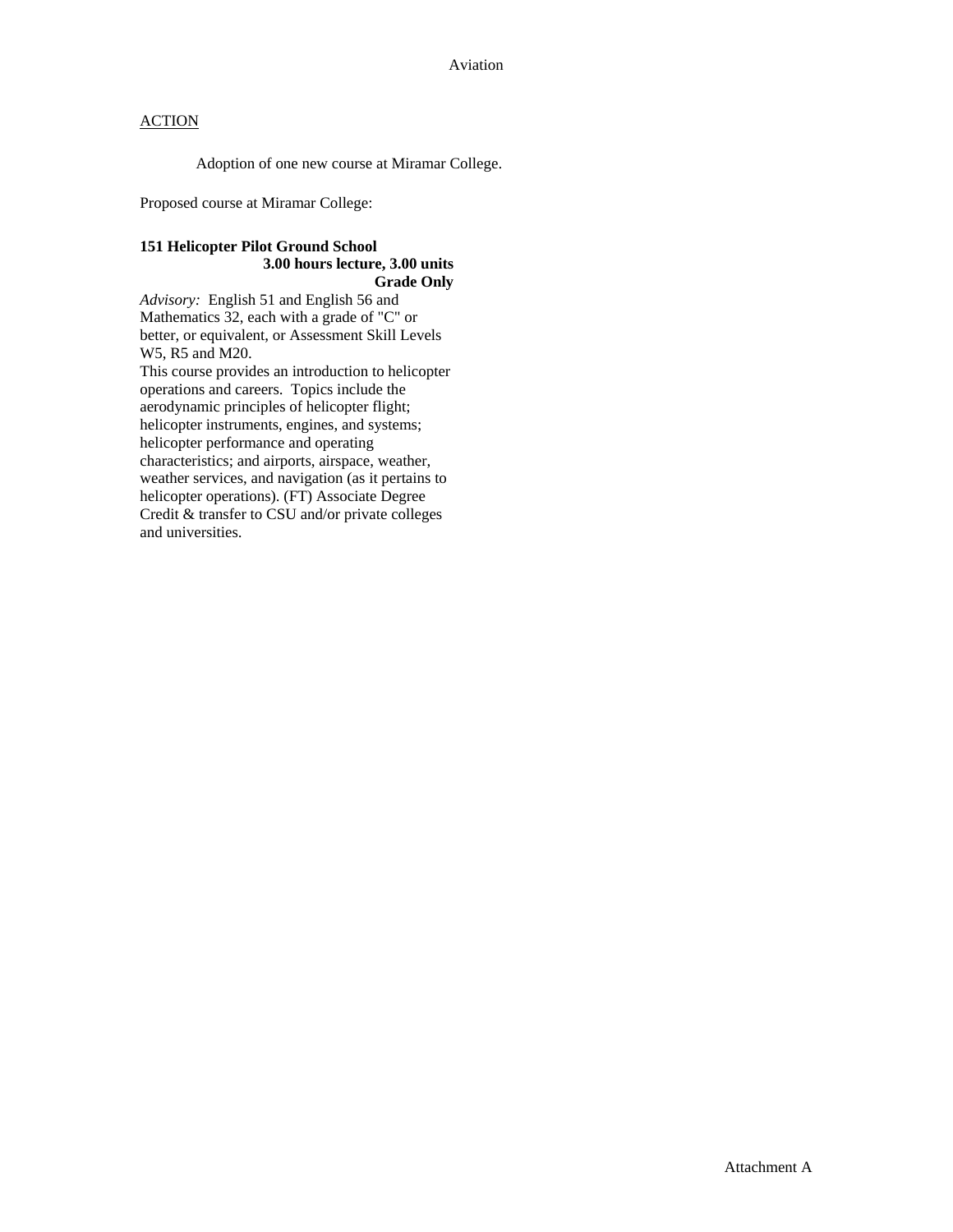Adoption of one new course at Miramar College.

Proposed course at Miramar College:

# **151 Helicopter Pilot Ground School 3.00 hours lecture, 3.00 units Grade Only**

*Advisory:* English 51 and English 56 and Mathematics 32, each with a grade of "C" or better, or equivalent, or Assessment Skill Levels W5, R5 and M20.

This course provides an introduction to helicopter operations and careers. Topics include the aerodynamic principles of helicopter flight; helicopter instruments, engines, and systems; helicopter performance and operating characteristics; and airports, airspace, weather, weather services, and navigation (as it pertains to helicopter operations). (FT) Associate Degree Credit & transfer to CSU and/or private colleges and universities.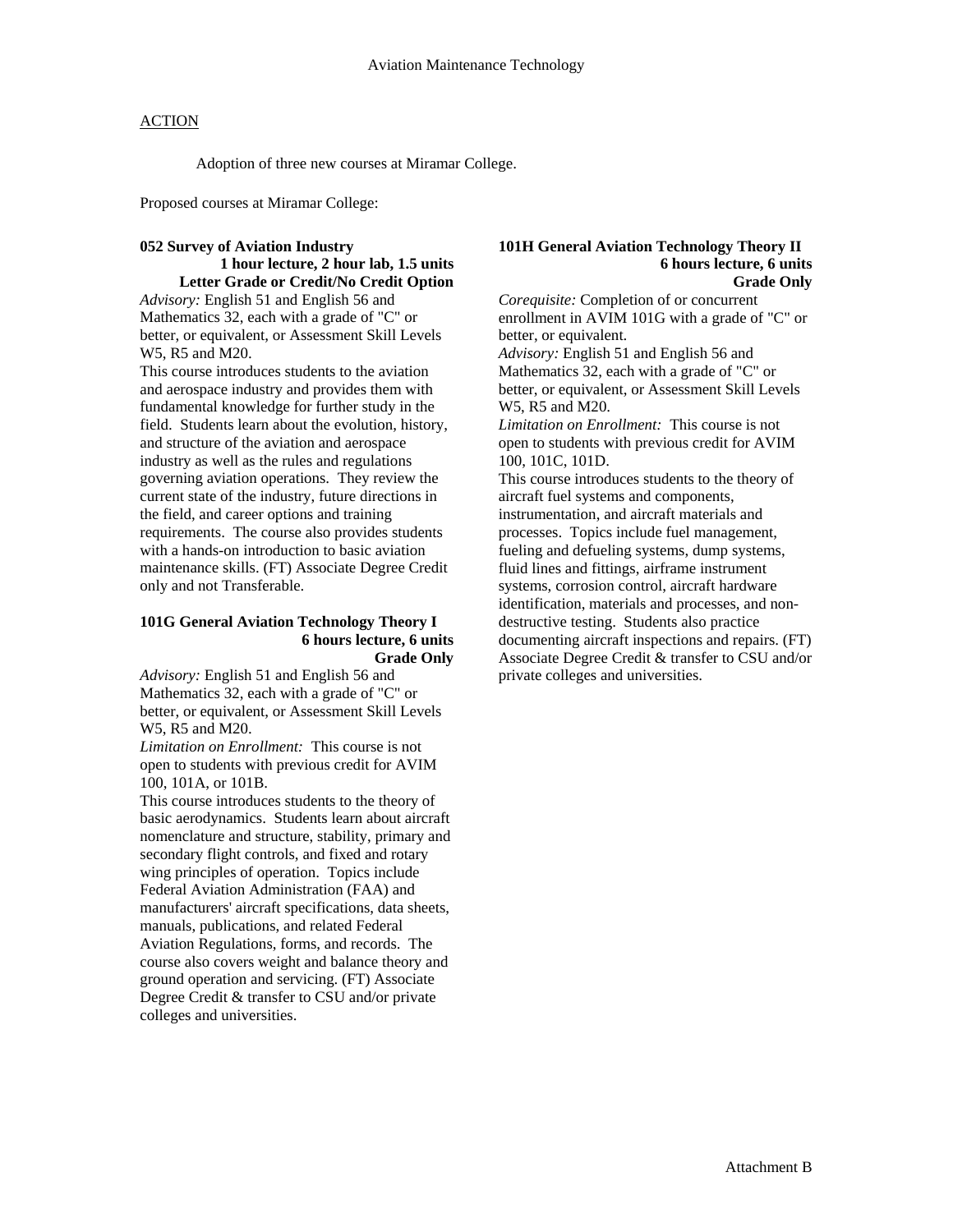Adoption of three new courses at Miramar College.

Proposed courses at Miramar College:

#### **052 Survey of Aviation Industry 1 hour lecture, 2 hour lab, 1.5 units**

# **Letter Grade or Credit/No Credit Option**

*Advisory:* English 51 and English 56 and Mathematics 32, each with a grade of "C" or better, or equivalent, or Assessment Skill Levels W5, R5 and M20.

This course introduces students to the aviation and aerospace industry and provides them with fundamental knowledge for further study in the field. Students learn about the evolution, history, and structure of the aviation and aerospace industry as well as the rules and regulations governing aviation operations. They review the current state of the industry, future directions in the field, and career options and training requirements. The course also provides students with a hands-on introduction to basic aviation maintenance skills. (FT) Associate Degree Credit only and not Transferable.

#### **101G General Aviation Technology Theory I 6 hours lecture, 6 units Grade Only**

*Advisory:* English 51 and English 56 and Mathematics 32, each with a grade of "C" or better, or equivalent, or Assessment Skill Levels W<sub>5</sub>, R<sub>5</sub> and M<sub>20</sub>.

*Limitation on Enrollment:* This course is not open to students with previous credit for AVIM 100, 101A, or 101B.

This course introduces students to the theory of basic aerodynamics. Students learn about aircraft nomenclature and structure, stability, primary and secondary flight controls, and fixed and rotary wing principles of operation. Topics include Federal Aviation Administration (FAA) and manufacturers' aircraft specifications, data sheets, manuals, publications, and related Federal Aviation Regulations, forms, and records. The course also covers weight and balance theory and ground operation and servicing. (FT) Associate Degree Credit & transfer to CSU and/or private colleges and universities.

#### **101H General Aviation Technology Theory II 6 hours lecture, 6 units Grade Only**

*Corequisite:* Completion of or concurrent enrollment in AVIM 101G with a grade of "C" or better, or equivalent.

*Advisory:* English 51 and English 56 and Mathematics 32, each with a grade of "C" or better, or equivalent, or Assessment Skill Levels W5, R5 and M20.

*Limitation on Enrollment:* This course is not open to students with previous credit for AVIM 100, 101C, 101D.

This course introduces students to the theory of aircraft fuel systems and components, instrumentation, and aircraft materials and processes. Topics include fuel management, fueling and defueling systems, dump systems, fluid lines and fittings, airframe instrument systems, corrosion control, aircraft hardware identification, materials and processes, and nondestructive testing. Students also practice documenting aircraft inspections and repairs. (FT) Associate Degree Credit & transfer to CSU and/or private colleges and universities.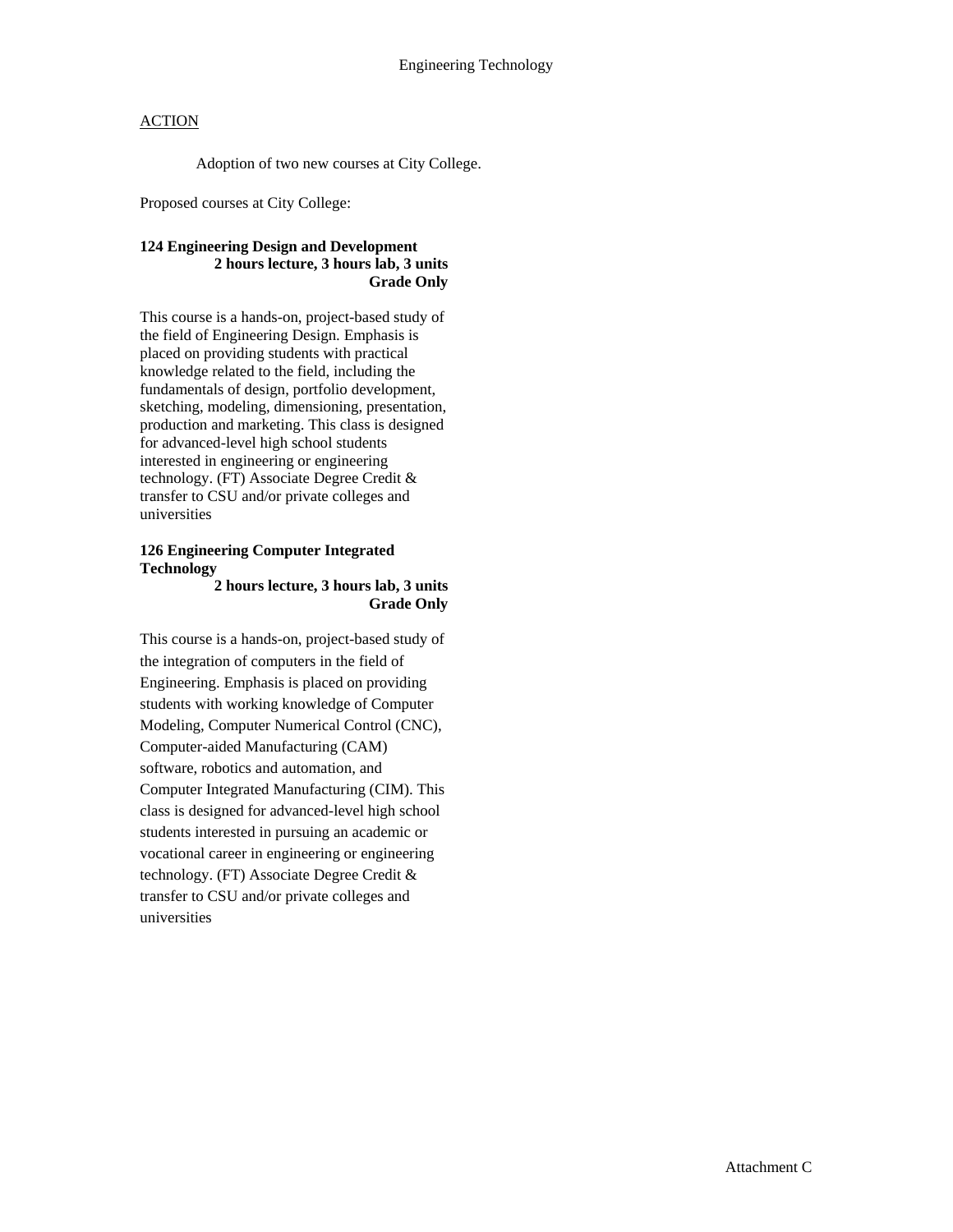Adoption of two new courses at City College.

Proposed courses at City College:

# **124 Engineering Design and Development 2 hours lecture, 3 hours lab, 3 units Grade Only**

This course is a hands-on, project-based study of the field of Engineering Design. Emphasis is placed on providing students with practical knowledge related to the field, including the fundamentals of design, portfolio development, sketching, modeling, dimensioning, presentation, production and marketing. This class is designed for advanced-level high school students interested in engineering or engineering technology. (FT) Associate Degree Credit & transfer to CSU and/or private colleges and universities

# **126 Engineering Computer Integrated Technology**

#### **2 hours lecture, 3 hours lab, 3 units Grade Only**

This course is a hands-on, project-based study of the integration of computers in the field of Engineering. Emphasis is placed on providing students with working knowledge of Computer Modeling, Computer Numerical Control (CNC), Computer-aided Manufacturing (CAM) software, robotics and automation, and Computer Integrated Manufacturing (CIM). This class is designed for advanced-level high school students interested in pursuing an academic or vocational career in engineering or engineering technology. (FT) Associate Degree Credit & transfer to CSU and/or private colleges and universities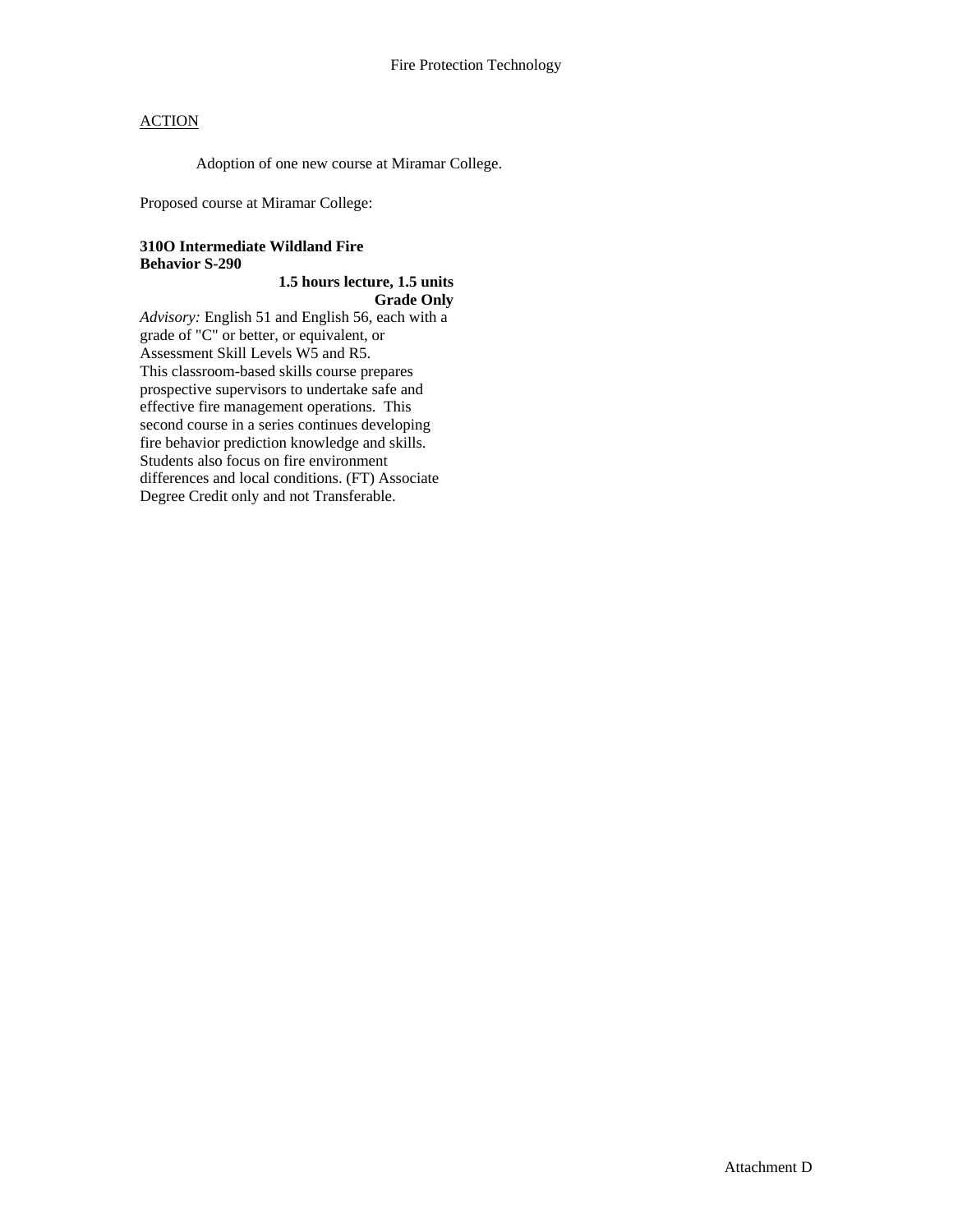Adoption of one new course at Miramar College.

Proposed course at Miramar College:

#### **310O Intermediate Wildland Fire Behavior S-290**

# **1.5 hours lecture, 1.5 units Grade Only**

*Advisory:* English 51 and English 56, each with a grade of "C" or better, or equivalent, or Assessment Skill Levels W5 and R5. This classroom-based skills course prepares prospective supervisors to undertake safe and effective fire management operations. This second course in a series continues developing fire behavior prediction knowledge and skills. Students also focus on fire environment differences and local conditions. (FT) Associate Degree Credit only and not Transferable.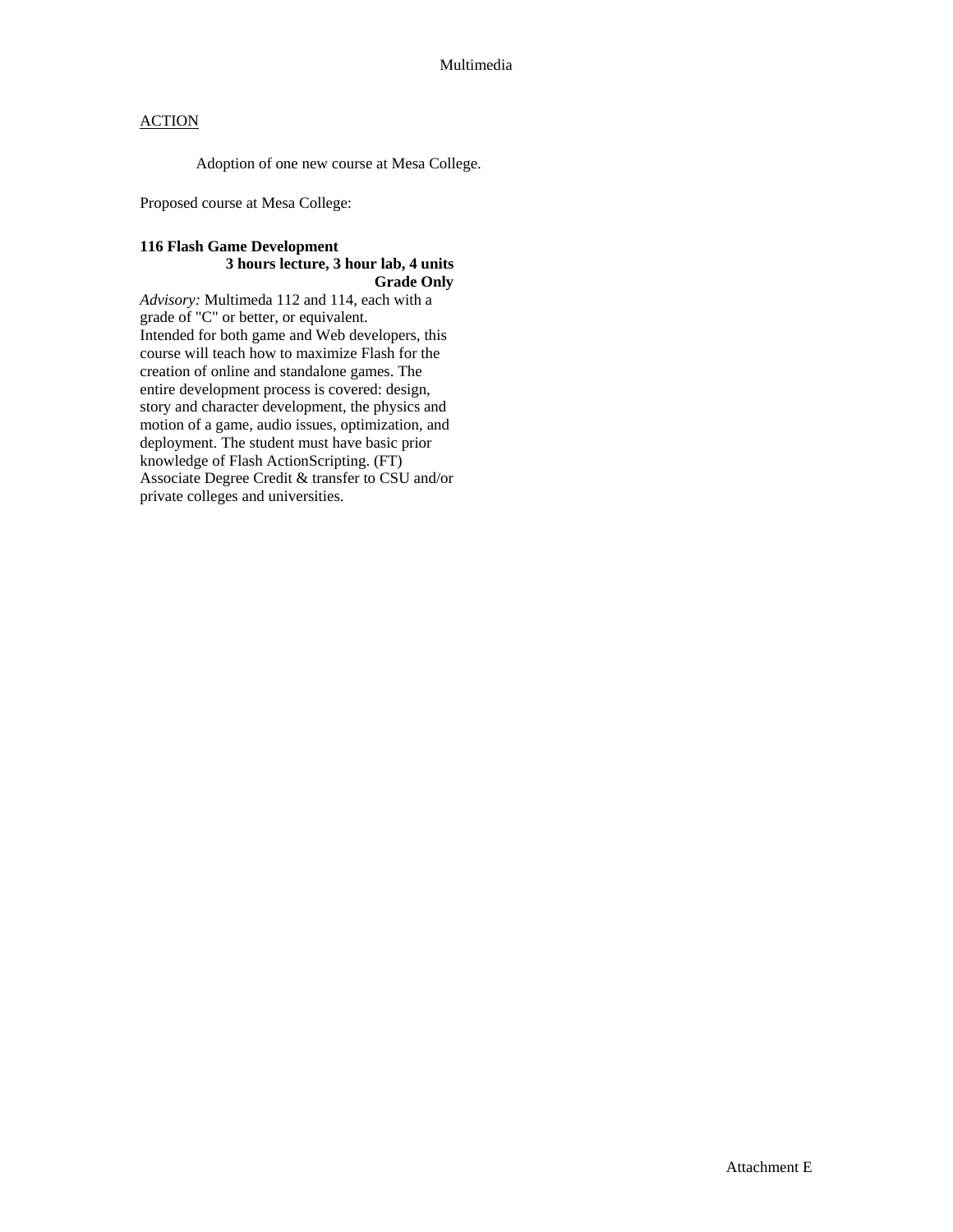Adoption of one new course at Mesa College.

Proposed course at Mesa College:

#### **116 Flash Game Development 3 hours lecture, 3 hour lab, 4 units Grade Only**

*Advisory:* Multimeda 112 and 114, each with a grade of "C" or better, or equivalent. Intended for both game and Web developers, this course will teach how to maximize Flash for the creation of online and standalone games. The entire development process is covered: design, story and character development, the physics and motion of a game, audio issues, optimization, and deployment. The student must have basic prior knowledge of Flash ActionScripting. (FT) Associate Degree Credit & transfer to CSU and/or private colleges and universities.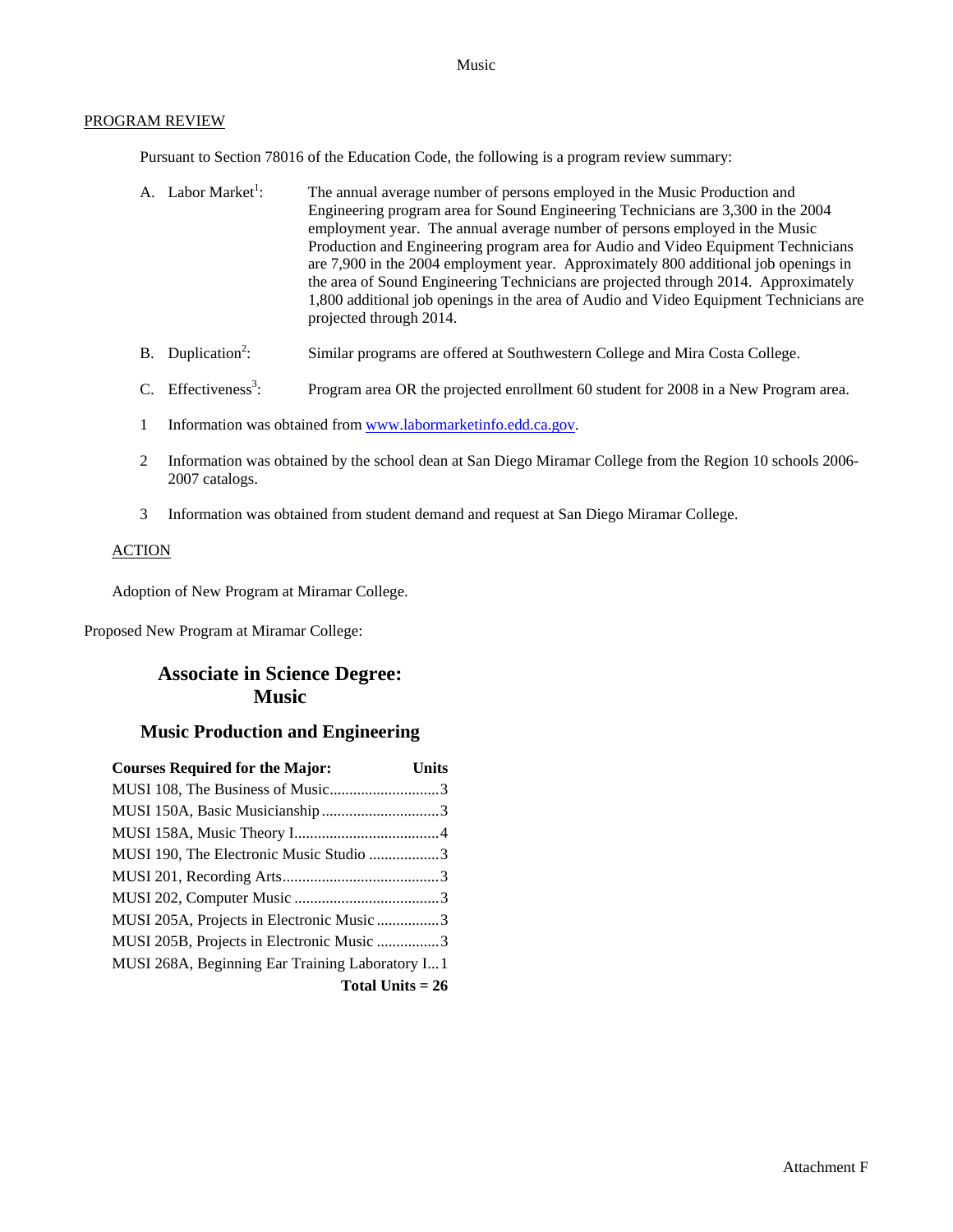#### Music

#### PROGRAM REVIEW

Pursuant to Section 78016 of the Education Code, the following is a program review summary:

- A. Labor Market<sup>1</sup>: : The annual average number of persons employed in the Music Production and Engineering program area for Sound Engineering Technicians are 3,300 in the 2004 employment year. The annual average number of persons employed in the Music Production and Engineering program area for Audio and Video Equipment Technicians are 7,900 in the 2004 employment year. Approximately 800 additional job openings in the area of Sound Engineering Technicians are projected through 2014. Approximately 1,800 additional job openings in the area of Audio and Video Equipment Technicians are projected through 2014.
- B. Duplication<sup>2</sup>: : Similar programs are offered at Southwestern College and Mira Costa College.
- C. Effectiveness<sup>3</sup>: : Program area OR the projected enrollment 60 student for 2008 in a New Program area.
- 1 Information was obtained from [www.labormarketinfo.edd.ca.gov.](http://www.labormarketinfo.edd.ca.gov/)
- 2 Information was obtained by the school dean at San Diego Miramar College from the Region 10 schools 2006- 2007 catalogs.
- 3 Information was obtained from student demand and request at San Diego Miramar College.

#### ACTION

Adoption of New Program at Miramar College.

Proposed New Program at Miramar College:

# **Associate in Science Degree: Music**

# **Music Production and Engineering**

| <b>Courses Required for the Major:</b>          | <b>Units</b> |  |
|-------------------------------------------------|--------------|--|
|                                                 |              |  |
|                                                 |              |  |
|                                                 |              |  |
| MUSI 190, The Electronic Music Studio 3         |              |  |
|                                                 |              |  |
|                                                 |              |  |
| MUSI 205A, Projects in Electronic Music 3       |              |  |
| MUSI 205B, Projects in Electronic Music 3       |              |  |
| MUSI 268A, Beginning Ear Training Laboratory I1 |              |  |
| Total Units $= 26$                              |              |  |